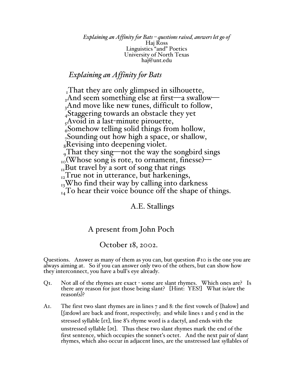*Explaining an Affinity for Bats – questions raised, answers let go of* Haj Ross Linguistics "and" Poetics University of North Texas haj@unt.edu

## *Explaining an Affinity for Bats*

That they are only glimpsed in silhouette,  $_{2}$ And seem something else at first—a swallow— <sub>3</sub>And move like new tunes, difficult to follow, 4Staggering towards an obstacle they yet  $<sub>5</sub>$ Avoid in a last-minute pirouette,</sub>  $66$ Somehow telling solid things from hollow, 7Sounding out how high a space, or shallow,  $_8$ Revising into deepening violet.  $_{9}$ That they sing—not the way the songbird sings  $_{10}$ (Whose song is rote, to ornament, finesse)—  $_{\text{II}}$ But travel by a sort of song that rings  $_{12}$ True not in utterance, but harkenings,  $_{13}$ Who find their way by calling into darkness  $_{14}$ To hear their voice bounce off the shape of things.

A.E. Stallings

## A present from John Poch

October 18, 2002.

Questions. Answer as many of them as you can, but question  $\#$  to is the one you are always aiming at. So if you can answer only two of the others, but can show how they interconnect, you have a bull's eye already.

- Q1. Not all of the rhymes are exact some are slant rhymes. Which ones are? Is there any reason for just those being slant? [Hint: YES!] What is/are the reason(s)?
- A1. The first two slant rhymes are in lines 7 and 8: the first vowels of [halow] and  $\int \mathbb{R}$  are back and front, respectively; and while lines 1 and 5 end in the stressed syllable [Et], line 8's rhyme word is a dactyl, and ends with the unstressed syllable [ət]. Thus these two slant rhymes mark the end of the first sentence, which occupies the sonnet's octet. And the next pair of slant rhymes, which also occur in adjacent lines, are the unstressed last syllables of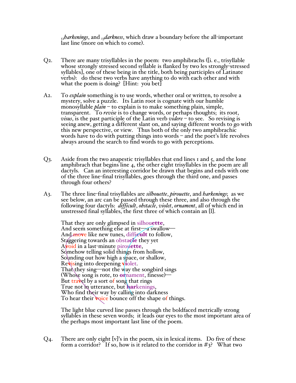<sup>12</sup>*harkenings*, and 13*darkness*, which draw a boundary before the all-important last line (more on which to come).

- Q2. There are many trisyllables in the poem: two amphibrachs ([i. e., trisyllable whose strongly stressed second syllable is flanked by two les strongly-stressed syllables], one of these being in the title, both being participles of Latinate verbs): do these two verbs have anything to do with each other and with what the poem is doing? [Hint: you bet]
- A2. To *explain* something is to use words, whether oral or written, to resolve a mystery, solve a puzzle. Its Latin root is cognate with our humble monosyllable *plain* – to explain is to make something plain, simple, transparent. To *revise* is to change words, or perhaps thoughts; its root, *visus*, is the past participle of the Latin verb *videre* – to see. So revising is seeing anew, getting a different slant on, and saying different words to go with this new perspective, or view. Thus both of the only two amphibrachic words have to do with putting things into words – and the poet's life revolves always around the search to find words to go with perceptions.
- Q3. Aside from the two anapestic trisyllables that end lines 1 and 5, and the lone amphibrach that begins line 4, the other eight trisyllables in the poem are all dactyls. Can an interesting corridor be drawn that begins and ends with one of the three line-final trisyllables, goes through the third one, and passes through four others?
- A3. The three line-final trisyllables are *silhouette*, *pirouette*, and *harkenings*; as we see below, an arc can be passed through these three, and also through the following four dactyls: *difficult*, *obstacle*, *violet*, *ornament*, all of which end in unstressed final syllables, the first three of which contain an [l].

That they are only glimpsed in silhouette, And seem something else at first—a swallow— And move like new tunes, difficult to follow, Staggering towards an obstacle they yet Avoid in a last-minute pirouette, Somehow telling solid things from hollow, Sounding out how high a space, or shallow, Revising into deepening violet. That they sing—not the way the songbird sings (Whose song is rote, to **or** nament, finesse)— But travel by a sort of song that rings True not in utterance, but harkenings, Who find their way by calling into darkness To hear their **v**oice bounce off the shape of things.

The light blue curved line passes through the boldfaced metrically strong syllables in these seven words; it leads our eyes to the most important area of the perhaps most important last line of the poem.

Q4. There are only eight [v]'s in the poem, six in lexical items. Do five of these form a corridor? If so, how is it related to the corridor in  $\#3$ ? What two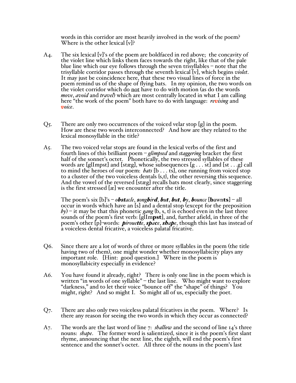words in this corridor are most heavily involved in the work of the poem? Where is the other lexical [v]?

- A4. The six lexical [v]'s of the poem are boldfaced in red above; the concavity of the violet line which links them faces towards the right, like that of the pale blue line which our eye follows through the seven trisyllables – note that the trisyllable corridor passes through the seventh lexical [v], which begins *violet*. It may just be coincidence here, that these two visual lines of force in the poem remind us of the shape of flying bats. In my opinion, the two words on the violet corridor which do not have to do with motion (as do the words *move*, *avoid* and *travel*) which are most centrally located in what I am calling here "the work of the poem" both have to do with language: *revising* and *voice*.
- Q5. There are only two occurrences of the voiced velar stop [g] in the poem. How are these two words interconnected? And how are they related to the lexical monosyllable in the title?
- A5. The two voiced velar stops are found in the lexical verbs of the first and fourth lines of this brilliant poem – *glimpsed* and *staggering* bracket the first half of the sonnet's octet. Phonetically, the two stressed syllables of these words are [glImpst] and [stæg], whose subsequences [g . . . st] and [st . . .g] call to mind the heroes of our poem: *bats* [b . . . ts], one running from voiced stop to a cluster of the two voiceless dentals {s,t}, the other reversing this sequence. And the vowel of the reversed [stæg] recalls bats most clearly, since staggering is the first stressed [æ] we encounter after the title.

The poem's six  $[b]$ 's – *obstacle*, *songbird*, *but*, *but*, *by*, *bounce* [bawnts] – all occur in words which have an [s] and a dental stop (except for the preposition *by*) – it may be that this phonetic *gang* {b, s, t} is echoed even in the last three sounds of the poem's first verb: [glImpst], and, further afield, in three of the poem's other [p]-words: *pirouette*, *space*, *shape*, though this last has instead of a voiceless dental fricative, a voiceless palatal fricative.

- Q6. Since there are a lot of words of three or more syllables in the poem (the title having two of them), one might wonder whether monosyllabicity plays any important role. [Hint: good question.] Where in the poem is monosyllabicity especially in evidence?
- A6. You have found it already, right? There is only one line in the poem which is written "in words of one syllable" – the last line. Who might want to explore "darkness," and to let their voice "bounce off" the "shape" of things? You might, right? And so might I. So might all of us, especially the poet.
- Q7. There are also only two voiceless palatal fricatives in the poem. Where? Is there any reason for seeing the two words in which they occur as connected?
- A7. The words are the last word of line 7: *shallow* and the second of line 14's three nouns: *shape*. The former word is salientized, since it is the poem's first slant rhyme, announcing that the next line, the eighth, will end the poem's first sentence and the sonnet's octet. All three of the nouns in the poem's last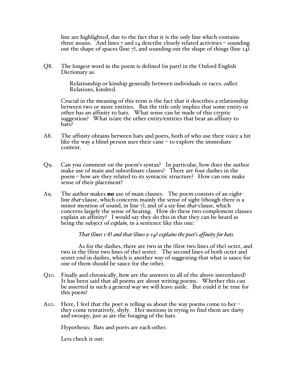line are highlighted, due to the fact that it is the only line which contains three nouns. And lines 7 and 14 describe closely related activities – sounding out the shape of spaces (line 7), and sounding out the shape of things (line  $I_4$ ).

Q8. The longest word in the poem is defined (in part) in the Oxford English Dictionary as:

> Relationship or kinship generally between individuals or races. *collect.* Relations, kindred.

Crucial in the meaning of this term is the fact that it describes a relationship between two or more entities. But the title only implies that some entity or other has an affinity to bats. What sense can be made of this cryptic suggestion? What is/are the other entity/entities that bear an affinity to bats?

- A8. The affinity obtains between bats and poets, both of who use their voice a bit like the way a blind person uses their cane – to explore the immediate context.
- Q9. Can you comment on the poem's syntax? In particular, how does the author make use of main and subordinate clauses? There are four dashes in the poem – how are they related to its syntactic structure? How can one make sense of their placement?
- A9. The author makes **no** use of main clauses. The poem consists of an eightline *that*-clause, which concerns mainly the sense of sight (though there is a minor mention of sound, in line 7), and of a six-line *that*-clause, which concerns largely the sense of hearing. How do these two complement clauses explain an affinity? I would say they do this in that they can be heard as being the subject of *explain*, in a sentence like this one:

*That (lines 1-8) and that (lines 9-14) explains the poet's affinity for bats.*

As for the dashes, there are two in the (first two lines of the) octet, and two in the (first two lines of the) sestet. The second lines of both octet and sestet end in dashes, which is another way of suggesting that what is sauce for one of them should be sauce for the other.

- Q10. Finally and chronically, how are the answers to all of the above interrelated? It has been said that all poems are about writing poems. Whether this can be asserted in such a general way we will leave aside. But could it be true for this poem?
- A10. Here, I feel that the poet is telling us about the way poems come to her they come tentatively, shyly. Her motions in trying to find them are darty and swoopy, just as are the foraging of the bats.

Hypothesis: Bats and poets are each other.

Less check it out: